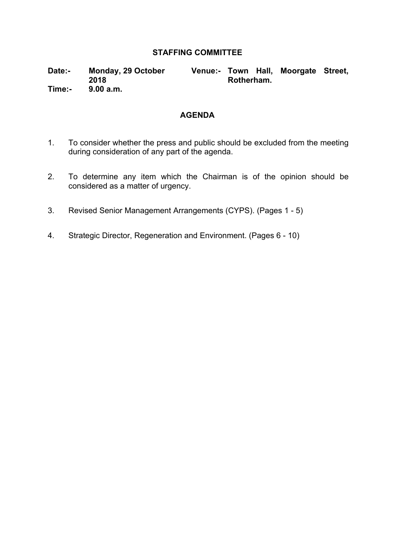#### **STAFFING COMMITTEE**

**Date:- Monday, 29 October 2018 Venue:- Town Hall, Moorgate Street, Rotherham. Time:- 9.00 a.m.**

#### **AGENDA**

- 1. To consider whether the press and public should be excluded from the meeting during consideration of any part of the agenda.
- 2. To determine any item which the Chairman is of the opinion should be considered as a matter of urgency.
- 3. Revised Senior Management Arrangements (CYPS). (Pages 1 5)
- 4. Strategic Director, Regeneration and Environment. (Pages 6 10)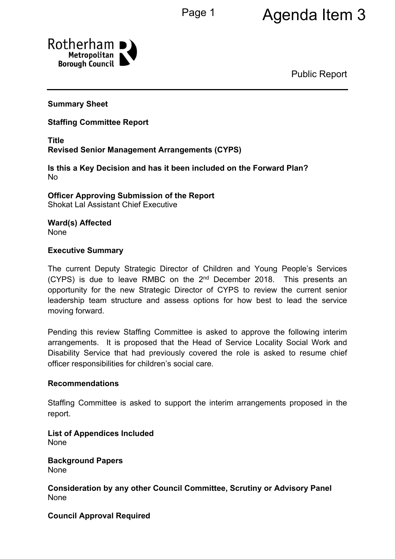

Public Report

#### **Summary Sheet**

#### **Staffing Committee Report**

**Title Revised Senior Management Arrangements (CYPS)**

**Is this a Key Decision and has it been included on the Forward Plan?** No

**Officer Approving Submission of the Report** Shokat Lal Assistant Chief Executive

**Ward(s) Affected** None

#### **Executive Summary**

The current Deputy Strategic Director of Children and Young People's Services (CYPS) is due to leave RMBC on the  $2^{nd}$  December 2018. This presents an opportunity for the new Strategic Director of CYPS to review the current senior leadership team structure and assess options for how best to lead the service moving forward.

Pending this review Staffing Committee is asked to approve the following interim arrangements. It is proposed that the Head of Service Locality Social Work and Disability Service that had previously covered the role is asked to resume chief officer responsibilities for children's social care.

#### **Recommendations**

Staffing Committee is asked to support the interim arrangements proposed in the report.

**List of Appendices Included** None

**Background Papers** None

**Consideration by any other Council Committee, Scrutiny or Advisory Panel** None

#### **Council Approval Required**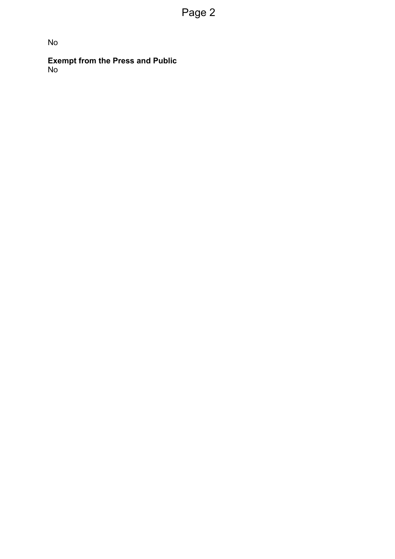No

**Exempt from the Press and Public** No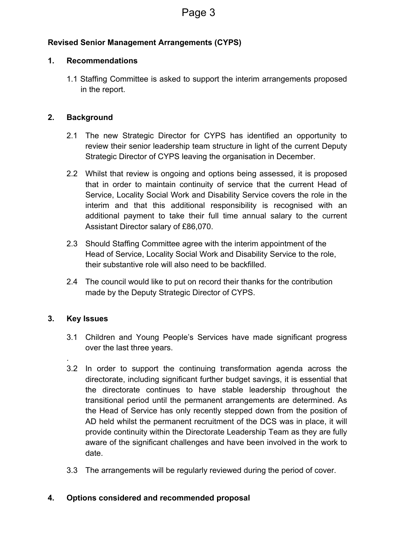# **Revised Senior Management Arrangements (CYPS)**

#### **1. Recommendations**

1.1 Staffing Committee is asked to support the interim arrangements proposed in the report.

# **2. Background**

- 2.1 The new Strategic Director for CYPS has identified an opportunity to review their senior leadership team structure in light of the current Deputy Strategic Director of CYPS leaving the organisation in December.
- 2.2 Whilst that review is ongoing and options being assessed, it is proposed that in order to maintain continuity of service that the current Head of Service, Locality Social Work and Disability Service covers the role in the interim and that this additional responsibility is recognised with an additional payment to take their full time annual salary to the current Assistant Director salary of £86,070.
- 2.3 Should Staffing Committee agree with the interim appointment of the Head of Service, Locality Social Work and Disability Service to the role, their substantive role will also need to be backfilled.
- 2.4 The council would like to put on record their thanks for the contribution made by the Deputy Strategic Director of CYPS.

### **3. Key Issues**

.

- 3.1 Children and Young People's Services have made significant progress over the last three years.
- 3.2 In order to support the continuing transformation agenda across the directorate, including significant further budget savings, it is essential that the directorate continues to have stable leadership throughout the transitional period until the permanent arrangements are determined. As the Head of Service has only recently stepped down from the position of AD held whilst the permanent recruitment of the DCS was in place, it will provide continuity within the Directorate Leadership Team as they are fully aware of the significant challenges and have been involved in the work to date.
- 3.3 The arrangements will be regularly reviewed during the period of cover.

### **4. Options considered and recommended proposal**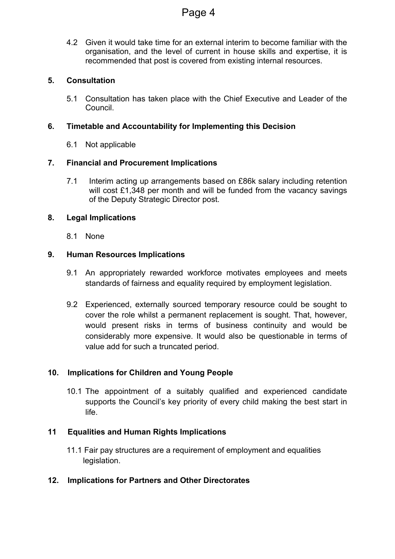# Page 4

4.2 Given it would take time for an external interim to become familiar with the organisation, and the level of current in house skills and expertise, it is recommended that post is covered from existing internal resources.

# **5. Consultation**

5.1 Consultation has taken place with the Chief Executive and Leader of the Council.

# **6. Timetable and Accountability for Implementing this Decision**

6.1 Not applicable

# **7. Financial and Procurement Implications**

7.1 Interim acting up arrangements based on £86k salary including retention will cost £1,348 per month and will be funded from the vacancy savings of the Deputy Strategic Director post.

# **8. Legal Implications**

8.1 None

# **9. Human Resources Implications**

- 9.1 An appropriately rewarded workforce motivates employees and meets standards of fairness and equality required by employment legislation.
- 9.2 Experienced, externally sourced temporary resource could be sought to cover the role whilst a permanent replacement is sought. That, however, would present risks in terms of business continuity and would be considerably more expensive. It would also be questionable in terms of value add for such a truncated period.

# **10. Implications for Children and Young People**

10.1 The appointment of a suitably qualified and experienced candidate supports the Council's key priority of every child making the best start in life.

### **11 Equalities and Human Rights Implications**

11.1 Fair pay structures are a requirement of employment and equalities legislation.

### **12. Implications for Partners and Other Directorates**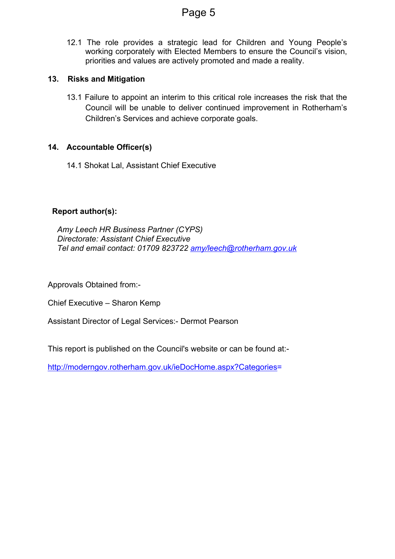# Page 5

12.1 The role provides a strategic lead for Children and Young People's working corporately with Elected Members to ensure the Council's vision, priorities and values are actively promoted and made a reality.

# **13. Risks and Mitigation**

13.1 Failure to appoint an interim to this critical role increases the risk that the Council will be unable to deliver continued improvement in Rotherham's Children's Services and achieve corporate goals.

# **14. Accountable Officer(s)**

14.1 Shokat Lal, Assistant Chief Executive

# **Report author(s):**

*Amy Leech HR Business Partner (CYPS) Directorate: Assistant Chief Executive Tel and email contact: 01709 823722 [amy/leech@rotherham.gov.uk](mailto:amy/leech@rotherham.gov.uk)*

Approvals Obtained from:-

Chief Executive – Sharon Kemp

Assistant Director of Legal Services:- Dermot Pearson

This report is published on the Council's website or can be found at:-

[http://moderngov.rotherham.gov.uk/ieDocHome.aspx?Categories=](http://moderngov.rotherham.gov.uk/ieDocHome.aspx?Categories)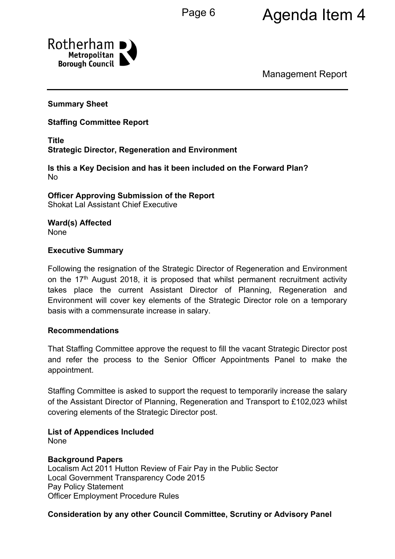

Management Report

#### **Summary Sheet**

### **Staffing Committee Report**

**Title Strategic Director, Regeneration and Environment**

**Is this a Key Decision and has it been included on the Forward Plan?** No

**Officer Approving Submission of the Report** Shokat Lal Assistant Chief Executive

**Ward(s) Affected** None

#### **Executive Summary**

Following the resignation of the Strategic Director of Regeneration and Environment on the  $17<sup>th</sup>$  August 2018, it is proposed that whilst permanent recruitment activity takes place the current Assistant Director of Planning, Regeneration and Environment will cover key elements of the Strategic Director role on a temporary basis with a commensurate increase in salary.

#### **Recommendations**

That Staffing Committee approve the request to fill the vacant Strategic Director post and refer the process to the Senior Officer Appointments Panel to make the appointment.

Staffing Committee is asked to support the request to temporarily increase the salary of the Assistant Director of Planning, Regeneration and Transport to £102,023 whilst covering elements of the Strategic Director post.

# **List of Appendices Included**

None

### **Background Papers**

Localism Act 2011 Hutton Review of Fair Pay in the Public Sector Local Government Transparency Code 2015 Pay Policy Statement Officer Employment Procedure Rules

### **Consideration by any other Council Committee, Scrutiny or Advisory Panel**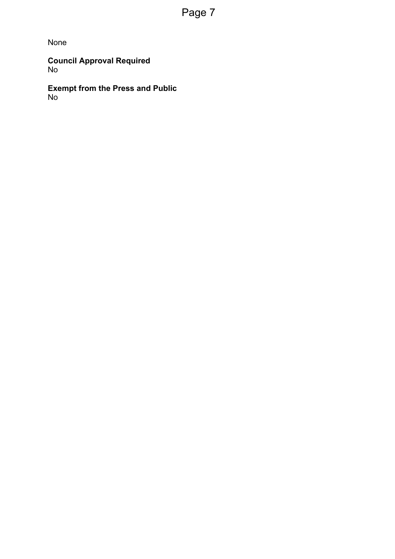# Page 7

None

**Council Approval Required** No

**Exempt from the Press and Public** No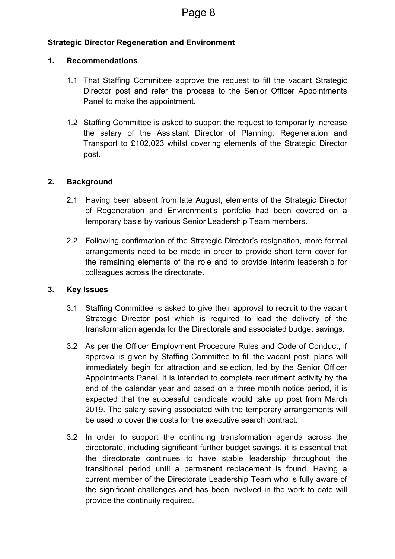# **Strategic Director Regeneration and Environment**

#### **1. Recommendations**

- 1.1 That Staffing Committee approve the request to fill the vacant Strategic Director post and refer the process to the Senior Officer Appointments Panel to make the appointment.
- 1.2 Staffing Committee is asked to support the request to temporarily increase the salary of the Assistant Director of Planning, Regeneration and Transport to £102,023 whilst covering elements of the Strategic Director post.

#### **2. Background**

- 2.1 Having been absent from late August, elements of the Strategic Director of Regeneration and Environment's portfolio had been covered on a temporary basis by various Senior Leadership Team members.
- 2.2 Following confirmation of the Strategic Director's resignation, more formal arrangements need to be made in order to provide short term cover for the remaining elements of the role and to provide interim leadership for colleagues across the directorate.

### **3. Key Issues**

- 3.1 Staffing Committee is asked to give their approval to recruit to the vacant Strategic Director post which is required to lead the delivery of the transformation agenda for the Directorate and associated budget savings.
- 3.2 As per the Officer Employment Procedure Rules and Code of Conduct, if approval is given by Staffing Committee to fill the vacant post, plans will immediately begin for attraction and selection, led by the Senior Officer Appointments Panel. It is intended to complete recruitment activity by the end of the calendar year and based on a three month notice period, it is expected that the successful candidate would take up post from March 2019. The salary saving associated with the temporary arrangements will be used to cover the costs for the executive search contract.
- 3.2 In order to support the continuing transformation agenda across the directorate, including significant further budget savings, it is essential that the directorate continues to have stable leadership throughout the transitional period until a permanent replacement is found. Having a current member of the Directorate Leadership Team who is fully aware of the significant challenges and has been involved in the work to date will provide the continuity required.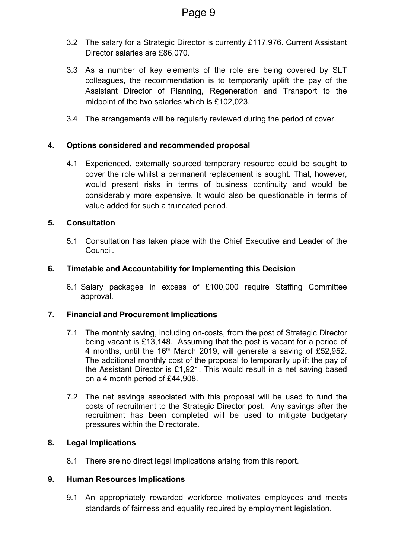- 3.2 The salary for a Strategic Director is currently £117,976. Current Assistant Director salaries are £86,070.
- 3.3 As a number of key elements of the role are being covered by SLT colleagues, the recommendation is to temporarily uplift the pay of the Assistant Director of Planning, Regeneration and Transport to the midpoint of the two salaries which is £102,023.
- 3.4 The arrangements will be regularly reviewed during the period of cover.

### **4. Options considered and recommended proposal**

4.1 Experienced, externally sourced temporary resource could be sought to cover the role whilst a permanent replacement is sought. That, however, would present risks in terms of business continuity and would be considerably more expensive. It would also be questionable in terms of value added for such a truncated period.

#### **5. Consultation**

5.1 Consultation has taken place with the Chief Executive and Leader of the Council.

#### **6. Timetable and Accountability for Implementing this Decision**

6.1 Salary packages in excess of £100,000 require Staffing Committee approval.

#### **7. Financial and Procurement Implications**

- 7.1 The monthly saving, including on-costs, from the post of Strategic Director being vacant is £13,148. Assuming that the post is vacant for a period of 4 months, until the  $16<sup>th</sup>$  March 2019, will generate a saving of £52,952. The additional monthly cost of the proposal to temporarily uplift the pay of the Assistant Director is £1,921. This would result in a net saving based on a 4 month period of £44,908.
- 7.2 The net savings associated with this proposal will be used to fund the costs of recruitment to the Strategic Director post. Any savings after the recruitment has been completed will be used to mitigate budgetary pressures within the Directorate.

#### **8. Legal Implications**

8.1 There are no direct legal implications arising from this report.

#### **9. Human Resources Implications**

9.1 An appropriately rewarded workforce motivates employees and meets standards of fairness and equality required by employment legislation.